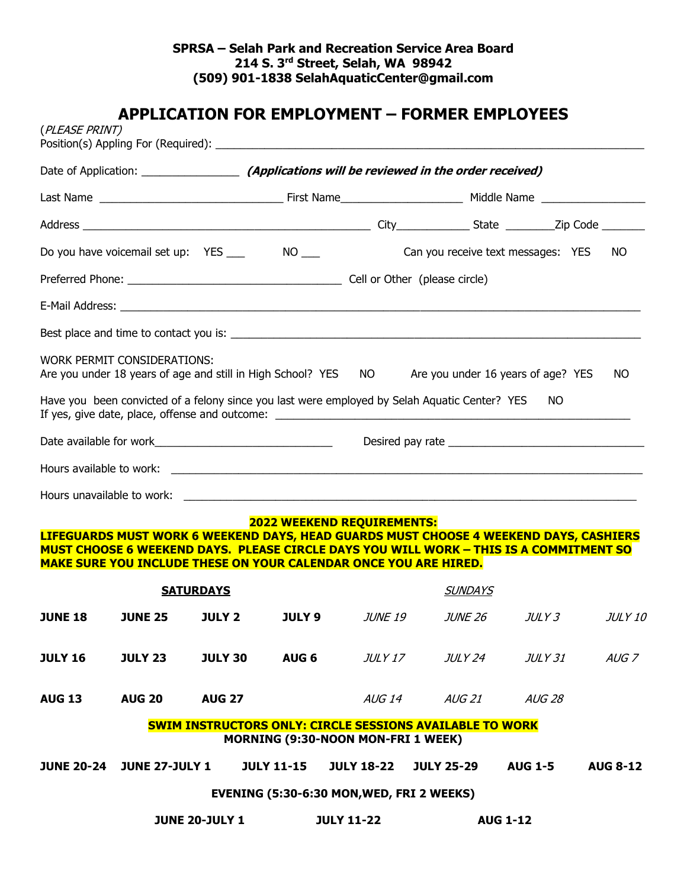# **APPLICATION FOR EMPLOYMENT – FORMER EMPLOYEES**

| (PLEASE PRINT)    |                             |                       |                   |                                                                                                              |                                                                                                                                                                                 |                |                 |  |
|-------------------|-----------------------------|-----------------------|-------------------|--------------------------------------------------------------------------------------------------------------|---------------------------------------------------------------------------------------------------------------------------------------------------------------------------------|----------------|-----------------|--|
|                   |                             |                       |                   |                                                                                                              |                                                                                                                                                                                 |                |                 |  |
|                   |                             |                       |                   |                                                                                                              |                                                                                                                                                                                 |                |                 |  |
|                   |                             |                       |                   |                                                                                                              |                                                                                                                                                                                 |                |                 |  |
|                   |                             |                       |                   |                                                                                                              | Can you receive text messages: YES                                                                                                                                              |                | NO.             |  |
|                   |                             |                       |                   |                                                                                                              |                                                                                                                                                                                 |                |                 |  |
|                   |                             |                       |                   |                                                                                                              |                                                                                                                                                                                 |                |                 |  |
|                   |                             |                       |                   |                                                                                                              |                                                                                                                                                                                 |                |                 |  |
|                   | WORK PERMIT CONSIDERATIONS: |                       |                   |                                                                                                              | Are you under 18 years of age and still in High School? YES NO Are you under 16 years of age? YES                                                                               |                | NO.             |  |
|                   |                             |                       |                   |                                                                                                              | Have you been convicted of a felony since you last were employed by Selah Aquatic Center? YES                                                                                   | NO.            |                 |  |
|                   |                             |                       |                   |                                                                                                              |                                                                                                                                                                                 |                |                 |  |
|                   |                             |                       |                   |                                                                                                              |                                                                                                                                                                                 |                |                 |  |
|                   |                             |                       |                   |                                                                                                              |                                                                                                                                                                                 |                |                 |  |
|                   |                             |                       |                   | <b>2022 WEEKEND REQUIREMENTS:</b><br><b>MAKE SURE YOU INCLUDE THESE ON YOUR CALENDAR ONCE YOU ARE HIRED.</b> | LIFEGUARDS MUST WORK 6 WEEKEND DAYS, HEAD GUARDS MUST CHOOSE 4 WEEKEND DAYS, CASHIERS<br>MUST CHOOSE 6 WEEKEND DAYS. PLEASE CIRCLE DAYS YOU WILL WORK - THIS IS A COMMITMENT SO |                |                 |  |
| <b>SATURDAYS</b>  |                             |                       |                   |                                                                                                              | <b>SUNDAYS</b>                                                                                                                                                                  |                |                 |  |
| <b>JUNE 18</b>    | <b>JUNE 25</b>              | <b>JULY 2</b>         | <b>JULY 9</b>     | JUNE 19                                                                                                      | <i>JUNE 26</i>                                                                                                                                                                  | <i>JULY 3</i>  | <b>JULY 10</b>  |  |
| <b>JULY 16</b>    | <b>JULY 23</b>              | <b>JULY 30</b>        | AUG <sub>6</sub>  | JULY 17                                                                                                      | <i>JULY 24</i>                                                                                                                                                                  | JULY 31        | AUG 7           |  |
| <b>AUG 13</b>     | <b>AUG 20</b>               | <b>AUG 27</b>         |                   | AUG 14                                                                                                       | <i>AUG 21</i>                                                                                                                                                                   | <i>AUG 28</i>  |                 |  |
|                   |                             |                       |                   | <b>MORNING (9:30-NOON MON-FRI 1 WEEK)</b>                                                                    | <b>SWIM INSTRUCTORS ONLY: CIRCLE SESSIONS AVAILABLE TO WORK</b>                                                                                                                 |                |                 |  |
| <b>JUNE 20-24</b> | <b>JUNE 27-JULY 1</b>       |                       | <b>JULY 11-15</b> | <b>JULY 18-22</b>                                                                                            | <b>JULY 25-29</b>                                                                                                                                                               | <b>AUG 1-5</b> | <b>AUG 8-12</b> |  |
|                   |                             |                       |                   | EVENING (5:30-6:30 MON, WED, FRI 2 WEEKS)                                                                    |                                                                                                                                                                                 |                |                 |  |
|                   |                             | <b>JUNE 20-JULY 1</b> |                   | <b>JULY 11-22</b>                                                                                            | <b>AUG 1-12</b>                                                                                                                                                                 |                |                 |  |